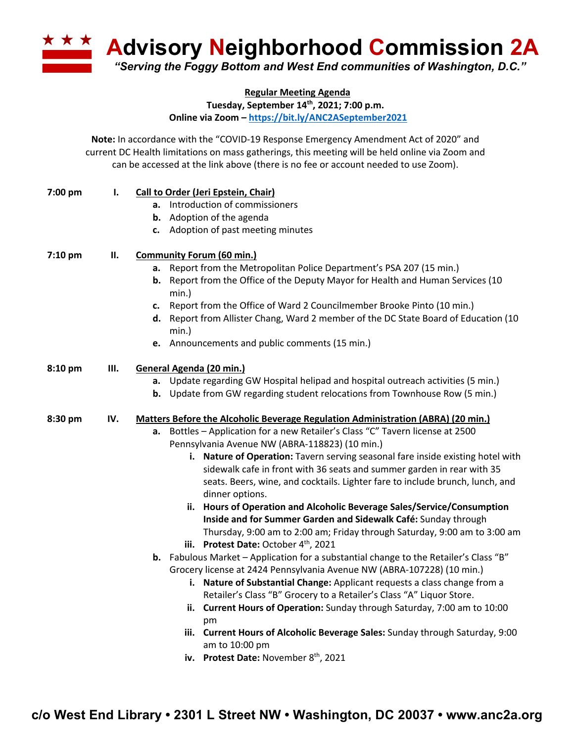**Advisory Neighborhood Commission 2A** *"Serving the Foggy Bottom and West End communities of Washington, D.C."*

**Regular Meeting Agenda**

**Tuesday, September 14th, 2021; 7:00 p.m.**

**Online via Zoom – https://bit.ly/ANC2ASeptember2021**

**Note:** In accordance with the "COVID-19 Response Emergency Amendment Act of 2020" and current DC Health limitations on mass gatherings, this meeting will be held online via Zoom and can be accessed at the link above (there is no fee or account needed to use Zoom).

| 7:00 pm | I.  | Call to Order (Jeri Epstein, Chair)                                                                                                                     |
|---------|-----|---------------------------------------------------------------------------------------------------------------------------------------------------------|
|         |     | a. Introduction of commissioners                                                                                                                        |
|         |     | <b>b.</b> Adoption of the agenda                                                                                                                        |
|         |     | Adoption of past meeting minutes<br>c.                                                                                                                  |
| 7:10 pm | П.  | <b>Community Forum (60 min.)</b>                                                                                                                        |
|         |     | Report from the Metropolitan Police Department's PSA 207 (15 min.)<br>а.                                                                                |
|         |     | <b>b.</b> Report from the Office of the Deputy Mayor for Health and Human Services (10<br>min.)                                                         |
|         |     | Report from the Office of Ward 2 Councilmember Brooke Pinto (10 min.)<br>c.                                                                             |
|         |     | d. Report from Allister Chang, Ward 2 member of the DC State Board of Education (10<br>$min.$ )                                                         |
|         |     | e. Announcements and public comments (15 min.)                                                                                                          |
| 8:10 pm | Ш.  | General Agenda (20 min.)                                                                                                                                |
|         |     | a. Update regarding GW Hospital helipad and hospital outreach activities (5 min.)                                                                       |
|         |     | <b>b.</b> Update from GW regarding student relocations from Townhouse Row (5 min.)                                                                      |
| 8:30 pm | IV. | <b>Matters Before the Alcoholic Beverage Regulation Administration (ABRA) (20 min.)</b>                                                                 |
|         |     | a. Bottles - Application for a new Retailer's Class "C" Tavern license at 2500                                                                          |
|         |     | Pennsylvania Avenue NW (ABRA-118823) (10 min.)                                                                                                          |
|         |     | i. Nature of Operation: Tavern serving seasonal fare inside existing hotel with                                                                         |
|         |     | sidewalk cafe in front with 36 seats and summer garden in rear with 35<br>seats. Beers, wine, and cocktails. Lighter fare to include brunch, lunch, and |
|         |     | dinner options.                                                                                                                                         |
|         |     | ii. Hours of Operation and Alcoholic Beverage Sales/Service/Consumption                                                                                 |
|         |     | Inside and for Summer Garden and Sidewalk Café: Sunday through                                                                                          |
|         |     | Thursday, 9:00 am to 2:00 am; Friday through Saturday, 9:00 am to 3:00 am                                                                               |
|         |     | iii. Protest Date: October 4th, 2021                                                                                                                    |
|         |     | <b>b.</b> Fabulous Market - Application for a substantial change to the Retailer's Class "B"                                                            |
|         |     | Grocery license at 2424 Pennsylvania Avenue NW (ABRA-107228) (10 min.)                                                                                  |
|         |     | i. Nature of Substantial Change: Applicant requests a class change from a                                                                               |
|         |     | Retailer's Class "B" Grocery to a Retailer's Class "A" Liquor Store.                                                                                    |
|         |     | ii. Current Hours of Operation: Sunday through Saturday, 7:00 am to 10:00<br>pm                                                                         |
|         |     | iii. Current Hours of Alcoholic Beverage Sales: Sunday through Saturday, 9:00                                                                           |
|         |     | am to 10:00 pm                                                                                                                                          |
|         |     | iv. Protest Date: November 8 <sup>th</sup> , 2021                                                                                                       |
|         |     |                                                                                                                                                         |